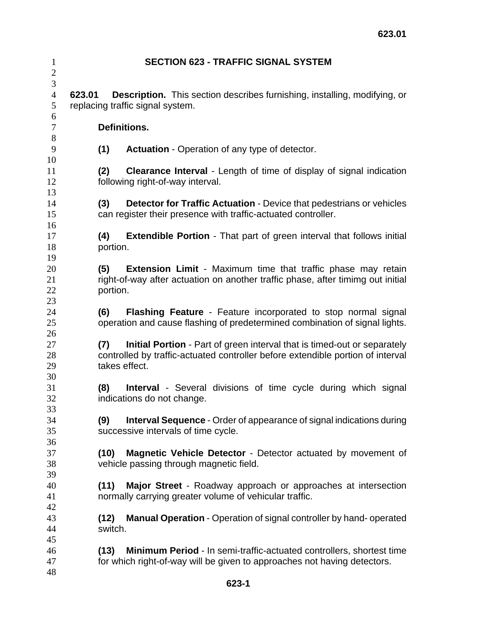| $\mathbf{1}$<br>$\overline{2}$ | <b>SECTION 623 - TRAFFIC SIGNAL SYSTEM</b>                                                                            |  |  |  |  |  |  |  |
|--------------------------------|-----------------------------------------------------------------------------------------------------------------------|--|--|--|--|--|--|--|
| $\mathfrak{Z}$                 | <b>Description.</b> This section describes furnishing, installing, modifying, or                                      |  |  |  |  |  |  |  |
| $\overline{4}$                 | 623.01                                                                                                                |  |  |  |  |  |  |  |
| 5                              | replacing traffic signal system.                                                                                      |  |  |  |  |  |  |  |
| 6<br>7                         | <b>Definitions.</b>                                                                                                   |  |  |  |  |  |  |  |
| 8                              | (1)                                                                                                                   |  |  |  |  |  |  |  |
| 9                              | <b>Actuation</b> - Operation of any type of detector.                                                                 |  |  |  |  |  |  |  |
| 10<br>11<br>12<br>13           | (2)<br><b>Clearance Interval</b> - Length of time of display of signal indication<br>following right-of-way interval. |  |  |  |  |  |  |  |
| 14                             | <b>Detector for Traffic Actuation - Device that pedestrians or vehicles</b>                                           |  |  |  |  |  |  |  |
| 15                             | (3)                                                                                                                   |  |  |  |  |  |  |  |
| 16                             | can register their presence with traffic-actuated controller.                                                         |  |  |  |  |  |  |  |
| 17                             | <b>Extendible Portion</b> - That part of green interval that follows initial                                          |  |  |  |  |  |  |  |
| 18                             | (4)                                                                                                                   |  |  |  |  |  |  |  |
| 19                             | portion.                                                                                                              |  |  |  |  |  |  |  |
| 20                             | <b>Extension Limit - Maximum time that traffic phase may retain</b>                                                   |  |  |  |  |  |  |  |
| 21                             | (5)                                                                                                                   |  |  |  |  |  |  |  |
| 22                             | right-of-way after actuation on another traffic phase, after timimg out initial                                       |  |  |  |  |  |  |  |
| 23                             | portion.                                                                                                              |  |  |  |  |  |  |  |
| 24                             | (6)                                                                                                                   |  |  |  |  |  |  |  |
| 25                             | <b>Flashing Feature - Feature incorporated to stop normal signal</b>                                                  |  |  |  |  |  |  |  |
| 26                             | operation and cause flashing of predetermined combination of signal lights.                                           |  |  |  |  |  |  |  |
| 27                             | Initial Portion - Part of green interval that is timed-out or separately                                              |  |  |  |  |  |  |  |
| 28                             | (7)                                                                                                                   |  |  |  |  |  |  |  |
| 29                             | controlled by traffic-actuated controller before extendible portion of interval                                       |  |  |  |  |  |  |  |
| 30                             | takes effect.                                                                                                         |  |  |  |  |  |  |  |
| 31                             | (8)                                                                                                                   |  |  |  |  |  |  |  |
| 32                             | <b>Interval</b> - Several divisions of time cycle during which signal                                                 |  |  |  |  |  |  |  |
| 33                             | indications do not change.                                                                                            |  |  |  |  |  |  |  |
| 34                             | <b>Interval Sequence - Order of appearance of signal indications during</b>                                           |  |  |  |  |  |  |  |
| 35                             | (9)                                                                                                                   |  |  |  |  |  |  |  |
| 36                             | successive intervals of time cycle.                                                                                   |  |  |  |  |  |  |  |
| 37                             | Magnetic Vehicle Detector - Detector actuated by movement of                                                          |  |  |  |  |  |  |  |
| 38                             | (10)                                                                                                                  |  |  |  |  |  |  |  |
| 39                             | vehicle passing through magnetic field.                                                                               |  |  |  |  |  |  |  |
| 40                             | Major Street - Roadway approach or approaches at intersection                                                         |  |  |  |  |  |  |  |
| 41                             | (11)                                                                                                                  |  |  |  |  |  |  |  |
| 42                             | normally carrying greater volume of vehicular traffic.                                                                |  |  |  |  |  |  |  |
| 43                             | Manual Operation - Operation of signal controller by hand- operated                                                   |  |  |  |  |  |  |  |
| 44                             | (12)                                                                                                                  |  |  |  |  |  |  |  |
| 45                             | switch.                                                                                                               |  |  |  |  |  |  |  |
| 46                             | (13)                                                                                                                  |  |  |  |  |  |  |  |
| 47                             | <b>Minimum Period</b> - In semi-traffic-actuated controllers, shortest time                                           |  |  |  |  |  |  |  |
| 48                             | for which right-of-way will be given to approaches not having detectors.                                              |  |  |  |  |  |  |  |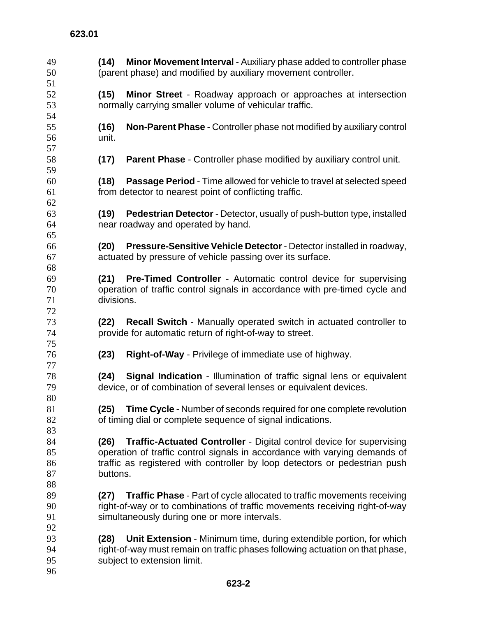- **(14) Minor Movement Interval** Auxiliary phase added to controller phase (parent phase) and modified by auxiliary movement controller. **(15) Minor Street** - Roadway approach or approaches at intersection normally carrying smaller volume of vehicular traffic. **(16) Non-Parent Phase** - Controller phase not modified by auxiliary control unit. **(17) Parent Phase** - Controller phase modified by auxiliary control unit. **(18) Passage Period** - Time allowed for vehicle to travel at selected speed from detector to nearest point of conflicting traffic. **(19) Pedestrian Detector** - Detector, usually of push-button type, installed near roadway and operated by hand. **(20) Pressure-Sensitive Vehicle Detector** - Detector installed in roadway, actuated by pressure of vehicle passing over its surface. **(21) Pre-Timed Controller** - Automatic control device for supervising operation of traffic control signals in accordance with pre-timed cycle and divisions. **(22) Recall Switch** - Manually operated switch in actuated controller to provide for automatic return of right-of-way to street. **(23) Right-of-Way** - Privilege of immediate use of highway. **(24) Signal Indication** - Illumination of traffic signal lens or equivalent device, or of combination of several lenses or equivalent devices. **(25) Time Cycle** - Number of seconds required for one complete revolution of timing dial or complete sequence of signal indications. **(26) Traffic-Actuated Controller** - Digital control device for supervising operation of traffic control signals in accordance with varying demands of traffic as registered with controller by loop detectors or pedestrian push buttons. **(27) Traffic Phase** - Part of cycle allocated to traffic movements receiving right-of-way or to combinations of traffic movements receiving right-of-way simultaneously during one or more intervals. **(28) Unit Extension** - Minimum time, during extendible portion, for which right-of-way must remain on traffic phases following actuation on that phase, subject to extension limit.
-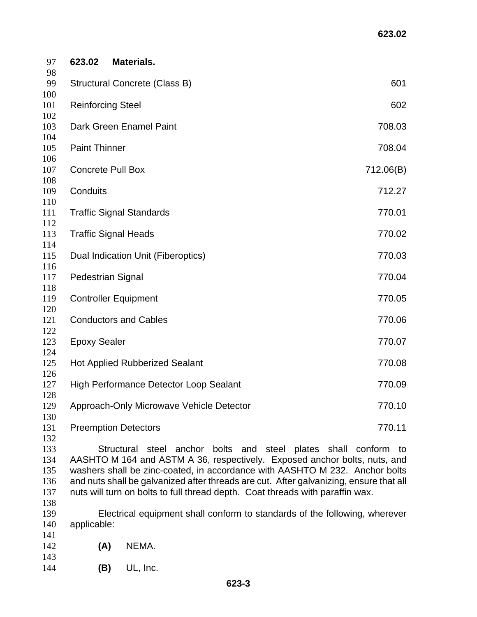| 97         | 623.02               | Materials.                                                                             |           |
|------------|----------------------|----------------------------------------------------------------------------------------|-----------|
| 98<br>99   |                      | <b>Structural Concrete (Class B)</b>                                                   | 601       |
| 100        |                      |                                                                                        |           |
| 101        |                      | <b>Reinforcing Steel</b>                                                               | 602       |
| 102        |                      |                                                                                        |           |
| 103        |                      | Dark Green Enamel Paint                                                                | 708.03    |
| 104        |                      |                                                                                        |           |
| 105        | <b>Paint Thinner</b> |                                                                                        | 708.04    |
| 106        |                      |                                                                                        |           |
| 107<br>108 |                      | <b>Concrete Pull Box</b>                                                               | 712.06(B) |
| 109        | Conduits             |                                                                                        | 712.27    |
| 110        |                      |                                                                                        |           |
| 111        |                      | <b>Traffic Signal Standards</b>                                                        | 770.01    |
| 112        |                      |                                                                                        |           |
| 113        |                      | <b>Traffic Signal Heads</b>                                                            | 770.02    |
| 114        |                      |                                                                                        |           |
| 115<br>116 |                      | Dual Indication Unit (Fiberoptics)                                                     | 770.03    |
| 117        |                      | <b>Pedestrian Signal</b>                                                               | 770.04    |
| 118        |                      |                                                                                        |           |
| 119        |                      | <b>Controller Equipment</b>                                                            | 770.05    |
| 120        |                      |                                                                                        |           |
| 121        |                      | <b>Conductors and Cables</b>                                                           | 770.06    |
| 122        |                      |                                                                                        |           |
| 123<br>124 | <b>Epoxy Sealer</b>  |                                                                                        | 770.07    |
| 125        |                      | <b>Hot Applied Rubberized Sealant</b>                                                  | 770.08    |
| 126        |                      |                                                                                        |           |
| 127        |                      | <b>High Performance Detector Loop Sealant</b>                                          | 770.09    |
| 128        |                      |                                                                                        |           |
| 129        |                      | Approach-Only Microwave Vehicle Detector                                               | 770.10    |
| 130        |                      |                                                                                        |           |
| 131        |                      | <b>Preemption Detectors</b>                                                            | 770.11    |
| 132<br>133 |                      | Structural steel anchor bolts and steel plates shall conform to                        |           |
| 134        |                      | AASHTO M 164 and ASTM A 36, respectively. Exposed anchor bolts, nuts, and              |           |
| 135        |                      | washers shall be zinc-coated, in accordance with AASHTO M 232. Anchor bolts            |           |
| 136        |                      | and nuts shall be galvanized after threads are cut. After galvanizing, ensure that all |           |

nuts will turn on bolts to full thread depth. Coat threads with paraffin wax. 

139 Electrical equipment shall conform to standards of the following, wherever<br>140 applicable: applicable:

- **(A)** NEMA.
- 143<br>144 **(B)** UL, Inc.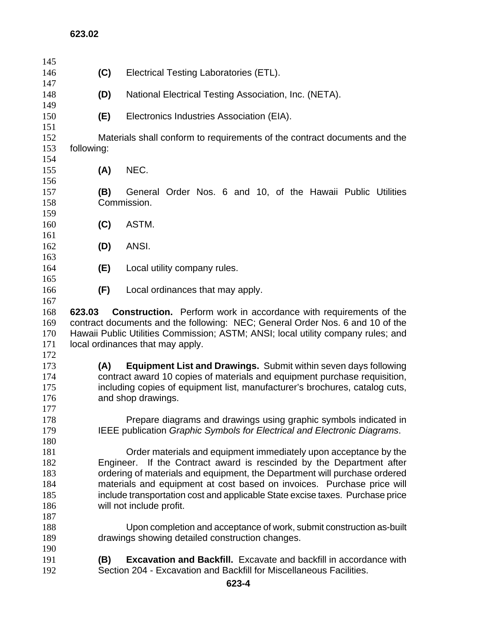| 145        |                                                                                    |                                                                               |  |  |  |  |  |  |
|------------|------------------------------------------------------------------------------------|-------------------------------------------------------------------------------|--|--|--|--|--|--|
| 146        | (C)                                                                                | Electrical Testing Laboratories (ETL).                                        |  |  |  |  |  |  |
| 147        |                                                                                    |                                                                               |  |  |  |  |  |  |
| 148        | (D)                                                                                | National Electrical Testing Association, Inc. (NETA).                         |  |  |  |  |  |  |
| 149        |                                                                                    |                                                                               |  |  |  |  |  |  |
| 150        | (E)                                                                                | Electronics Industries Association (EIA).                                     |  |  |  |  |  |  |
| 151        |                                                                                    |                                                                               |  |  |  |  |  |  |
| 152        |                                                                                    | Materials shall conform to requirements of the contract documents and the     |  |  |  |  |  |  |
| 153        | following:                                                                         |                                                                               |  |  |  |  |  |  |
| 154<br>155 |                                                                                    | NEC.                                                                          |  |  |  |  |  |  |
| 156        | (A)                                                                                |                                                                               |  |  |  |  |  |  |
| 157        | (B)                                                                                | General Order Nos. 6 and 10, of the Hawaii Public Utilities                   |  |  |  |  |  |  |
| 158        |                                                                                    | Commission.                                                                   |  |  |  |  |  |  |
| 159        |                                                                                    |                                                                               |  |  |  |  |  |  |
| 160        | (C)                                                                                | ASTM.                                                                         |  |  |  |  |  |  |
| 161        |                                                                                    |                                                                               |  |  |  |  |  |  |
| 162        | (D)                                                                                | ANSI.                                                                         |  |  |  |  |  |  |
| 163        |                                                                                    |                                                                               |  |  |  |  |  |  |
| 164        | (E)                                                                                | Local utility company rules.                                                  |  |  |  |  |  |  |
| 165        |                                                                                    |                                                                               |  |  |  |  |  |  |
| 166        | (F)                                                                                | Local ordinances that may apply.                                              |  |  |  |  |  |  |
| 167        |                                                                                    |                                                                               |  |  |  |  |  |  |
| 168        | 623.03<br><b>Construction.</b> Perform work in accordance with requirements of the |                                                                               |  |  |  |  |  |  |
| 169        | contract documents and the following: NEC; General Order Nos. 6 and 10 of the      |                                                                               |  |  |  |  |  |  |
| 170        | Hawaii Public Utilities Commission; ASTM; ANSI; local utility company rules; and   |                                                                               |  |  |  |  |  |  |
| 171        |                                                                                    | local ordinances that may apply.                                              |  |  |  |  |  |  |
| 172<br>173 | (A)                                                                                | <b>Equipment List and Drawings.</b> Submit within seven days following        |  |  |  |  |  |  |
| 174        |                                                                                    | contract award 10 copies of materials and equipment purchase requisition,     |  |  |  |  |  |  |
| 175        |                                                                                    | including copies of equipment list, manufacturer's brochures, catalog cuts,   |  |  |  |  |  |  |
| 176        | and shop drawings.                                                                 |                                                                               |  |  |  |  |  |  |
| 177        |                                                                                    |                                                                               |  |  |  |  |  |  |
| 178        |                                                                                    | Prepare diagrams and drawings using graphic symbols indicated in              |  |  |  |  |  |  |
| 179        |                                                                                    | IEEE publication Graphic Symbols for Electrical and Electronic Diagrams.      |  |  |  |  |  |  |
| 180        |                                                                                    |                                                                               |  |  |  |  |  |  |
| 181        |                                                                                    | Order materials and equipment immediately upon acceptance by the              |  |  |  |  |  |  |
| 182        |                                                                                    | Engineer. If the Contract award is rescinded by the Department after          |  |  |  |  |  |  |
| 183        |                                                                                    | ordering of materials and equipment, the Department will purchase ordered     |  |  |  |  |  |  |
| 184        | materials and equipment at cost based on invoices. Purchase price will             |                                                                               |  |  |  |  |  |  |
| 185        |                                                                                    | include transportation cost and applicable State excise taxes. Purchase price |  |  |  |  |  |  |
| 186<br>187 |                                                                                    | will not include profit.                                                      |  |  |  |  |  |  |
| 188        |                                                                                    | Upon completion and acceptance of work, submit construction as-built          |  |  |  |  |  |  |
| 189        |                                                                                    | drawings showing detailed construction changes.                               |  |  |  |  |  |  |
| 190        |                                                                                    |                                                                               |  |  |  |  |  |  |
| 191        | (B)                                                                                | <b>Excavation and Backfill.</b> Excavate and backfill in accordance with      |  |  |  |  |  |  |
| 192        |                                                                                    | Section 204 - Excavation and Backfill for Miscellaneous Facilities.           |  |  |  |  |  |  |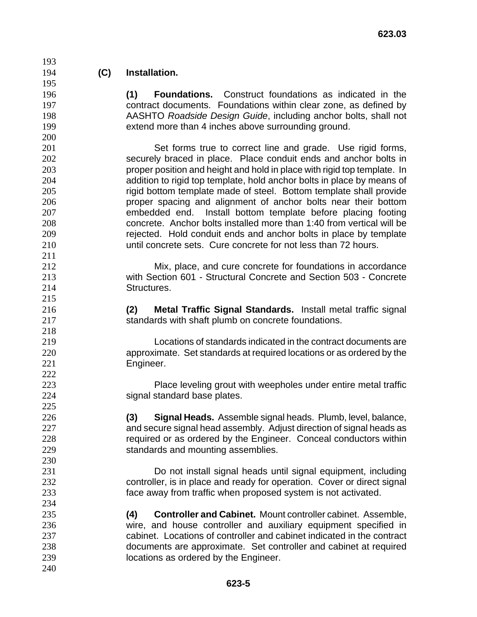**(C) Installation.** 

**(1) Foundations.** Construct foundations as indicated in the contract documents. Foundations within clear zone, as defined by AASHTO *Roadside Design Guide*, including anchor bolts, shall not extend more than 4 inches above surrounding ground.

Set forms true to correct line and grade. Use rigid forms, securely braced in place. Place conduit ends and anchor bolts in proper position and height and hold in place with rigid top template. In addition to rigid top template, hold anchor bolts in place by means of rigid bottom template made of steel. Bottom template shall provide proper spacing and alignment of anchor bolts near their bottom embedded end. Install bottom template before placing footing concrete. Anchor bolts installed more than 1:40 from vertical will be rejected. Hold conduit ends and anchor bolts in place by template until concrete sets. Cure concrete for not less than 72 hours. 

Mix, place, and cure concrete for foundations in accordance with Section 601 - Structural Concrete and Section 503 - Concrete Structures.

**(2) Metal Traffic Signal Standards.** Install metal traffic signal standards with shaft plumb on concrete foundations.

Locations of standards indicated in the contract documents are approximate. Set standards at required locations or as ordered by the Engineer.

Place leveling grout with weepholes under entire metal traffic signal standard base plates.

**(3) Signal Heads.** Assemble signal heads. Plumb, level, balance, and secure signal head assembly. Adjust direction of signal heads as 228 required or as ordered by the Engineer. Conceal conductors within standards and mounting assemblies.

Do not install signal heads until signal equipment, including controller, is in place and ready for operation. Cover or direct signal face away from traffic when proposed system is not activated.

**(4) Controller and Cabinet.** Mount controller cabinet. Assemble, wire, and house controller and auxiliary equipment specified in cabinet. Locations of controller and cabinet indicated in the contract documents are approximate. Set controller and cabinet at required locations as ordered by the Engineer.

 **623-5**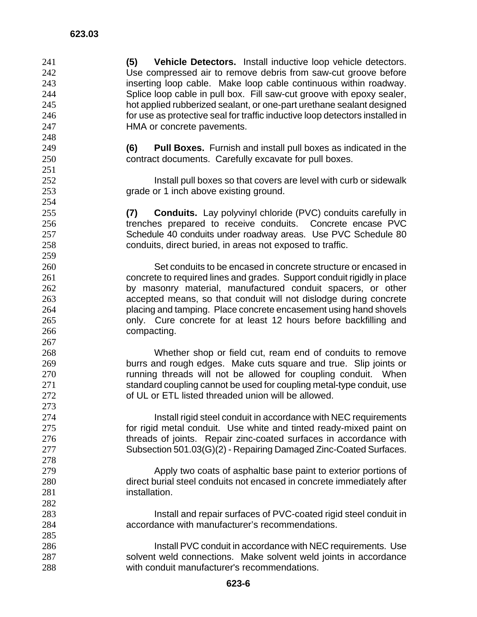**(5) Vehicle Detectors.** Install inductive loop vehicle detectors. Use compressed air to remove debris from saw-cut groove before inserting loop cable. Make loop cable continuous within roadway. Splice loop cable in pull box. Fill saw-cut groove with epoxy sealer, hot applied rubberized sealant, or one-part urethane sealant designed for use as protective seal for traffic inductive loop detectors installed in HMA or concrete pavements. **(6) Pull Boxes.** Furnish and install pull boxes as indicated in the contract documents. Carefully excavate for pull boxes. **Install pull boxes so that covers are level with curb or sidewalk** grade or 1 inch above existing ground. **(7) Conduits.** Lay polyvinyl chloride (PVC) conduits carefully in trenches prepared to receive conduits. Concrete encase PVC Schedule 40 conduits under roadway areas. Use PVC Schedule 80 conduits, direct buried, in areas not exposed to traffic. Set conduits to be encased in concrete structure or encased in concrete to required lines and grades. Support conduit rigidly in place by masonry material, manufactured conduit spacers, or other accepted means, so that conduit will not dislodge during concrete placing and tamping. Place concrete encasement using hand shovels only. Cure concrete for at least 12 hours before backfilling and compacting. Whether shop or field cut, ream end of conduits to remove burrs and rough edges. Make cuts square and true. Slip joints or running threads will not be allowed for coupling conduit. When standard coupling cannot be used for coupling metal-type conduit, use of UL or ETL listed threaded union will be allowed. **Install rigid steel conduit in accordance with NEC requirements for rigid metal conduit.** Use white and tinted ready-mixed paint on threads of joints. Repair zinc-coated surfaces in accordance with Subsection 501.03(G)(2) - Repairing Damaged Zinc-Coated Surfaces. Apply two coats of asphaltic base paint to exterior portions of direct burial steel conduits not encased in concrete immediately after **installation**. Install and repair surfaces of PVC-coated rigid steel conduit in accordance with manufacturer's recommendations. Install PVC conduit in accordance with NEC requirements. Use solvent weld connections. Make solvent weld joints in accordance with conduit manufacturer's recommendations.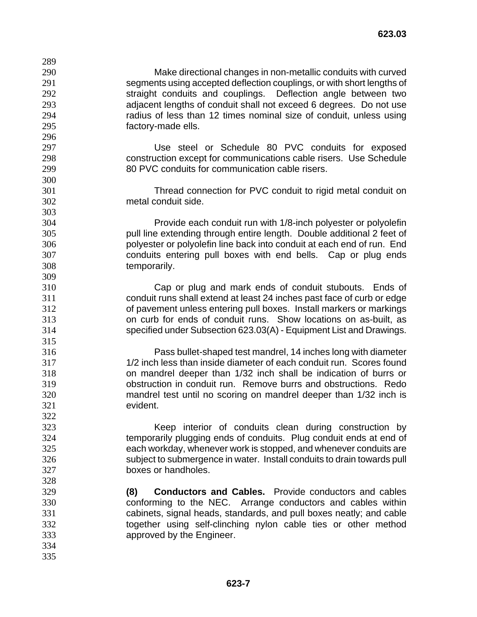Make directional changes in non-metallic conduits with curved segments using accepted deflection couplings, or with short lengths of straight conduits and couplings. Deflection angle between two adjacent lengths of conduit shall not exceed 6 degrees. Do not use radius of less than 12 times nominal size of conduit, unless using factory-made ells.

Use steel or Schedule 80 PVC conduits for exposed construction except for communications cable risers. Use Schedule 80 PVC conduits for communication cable risers.

Thread connection for PVC conduit to rigid metal conduit on metal conduit side.

Provide each conduit run with 1/8-inch polyester or polyolefin pull line extending through entire length. Double additional 2 feet of polyester or polyolefin line back into conduit at each end of run. End conduits entering pull boxes with end bells. Cap or plug ends temporarily.

Cap or plug and mark ends of conduit stubouts. Ends of conduit runs shall extend at least 24 inches past face of curb or edge of pavement unless entering pull boxes. Install markers or markings on curb for ends of conduit runs. Show locations on as-built, as specified under Subsection 623.03(A) - Equipment List and Drawings.

Pass bullet-shaped test mandrel, 14 inches long with diameter 1/2 inch less than inside diameter of each conduit run. Scores found on mandrel deeper than 1/32 inch shall be indication of burrs or **bostruction in conduit run.** Remove burrs and obstructions. Redo<br>320 **mandrel test until no scoring on mandrel deeper than 1/32 inch is** mandrel test until no scoring on mandrel deeper than 1/32 inch is evident.

Keep interior of conduits clean during construction by temporarily plugging ends of conduits. Plug conduit ends at end of each workday, whenever work is stopped, and whenever conduits are subject to submergence in water. Install conduits to drain towards pull boxes or handholes.

**(8) Conductors and Cables.** Provide conductors and cables conforming to the NEC. Arrange conductors and cables within cabinets, signal heads, standards, and pull boxes neatly; and cable together using self-clinching nylon cable ties or other method approved by the Engineer.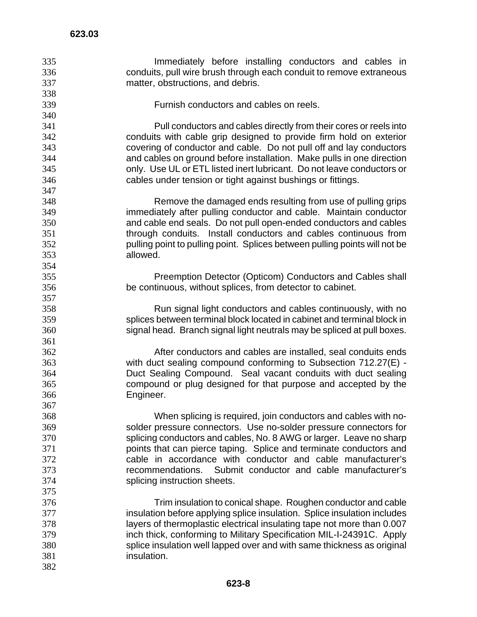| 335 | Immediately before installing conductors and cables in                     |
|-----|----------------------------------------------------------------------------|
| 336 | conduits, pull wire brush through each conduit to remove extraneous        |
| 337 | matter, obstructions, and debris.                                          |
| 338 |                                                                            |
| 339 | Furnish conductors and cables on reels.                                    |
| 340 |                                                                            |
| 341 | Pull conductors and cables directly from their cores or reels into         |
| 342 | conduits with cable grip designed to provide firm hold on exterior         |
| 343 | covering of conductor and cable. Do not pull off and lay conductors        |
| 344 | and cables on ground before installation. Make pulls in one direction      |
| 345 | only. Use UL or ETL listed inert lubricant. Do not leave conductors or     |
| 346 | cables under tension or tight against bushings or fittings.                |
| 347 |                                                                            |
|     |                                                                            |
| 348 | Remove the damaged ends resulting from use of pulling grips                |
| 349 | immediately after pulling conductor and cable. Maintain conductor          |
| 350 | and cable end seals. Do not pull open-ended conductors and cables          |
| 351 | through conduits. Install conductors and cables continuous from            |
| 352 | pulling point to pulling point. Splices between pulling points will not be |
| 353 | allowed.                                                                   |
| 354 |                                                                            |
| 355 | Preemption Detector (Opticom) Conductors and Cables shall                  |
| 356 | be continuous, without splices, from detector to cabinet.                  |
| 357 |                                                                            |
| 358 | Run signal light conductors and cables continuously, with no               |
| 359 | splices between terminal block located in cabinet and terminal block in    |
| 360 | signal head. Branch signal light neutrals may be spliced at pull boxes.    |
| 361 |                                                                            |
|     |                                                                            |
| 362 | After conductors and cables are installed, seal conduits ends              |
| 363 | with duct sealing compound conforming to Subsection 712.27(E) -            |
| 364 | Duct Sealing Compound. Seal vacant conduits with duct sealing              |
| 365 | compound or plug designed for that purpose and accepted by the             |
| 366 | Engineer.                                                                  |
| 367 |                                                                            |
| 368 | When splicing is required, join conductors and cables with no-             |
| 369 | solder pressure connectors. Use no-solder pressure connectors for          |
| 370 | splicing conductors and cables, No. 8 AWG or larger. Leave no sharp        |
| 371 | points that can pierce taping. Splice and terminate conductors and         |
| 372 | cable in accordance with conductor and cable manufacturer's                |
| 373 | recommendations. Submit conductor and cable manufacturer's                 |
| 374 | splicing instruction sheets.                                               |
| 375 |                                                                            |
| 376 | Trim insulation to conical shape. Roughen conductor and cable              |
| 377 | insulation before applying splice insulation. Splice insulation includes   |
| 378 |                                                                            |
|     | layers of thermoplastic electrical insulating tape not more than 0.007     |
| 379 | inch thick, conforming to Military Specification MIL-I-24391C. Apply       |
| 380 | splice insulation well lapped over and with same thickness as original     |
| 381 | insulation.                                                                |
| 382 |                                                                            |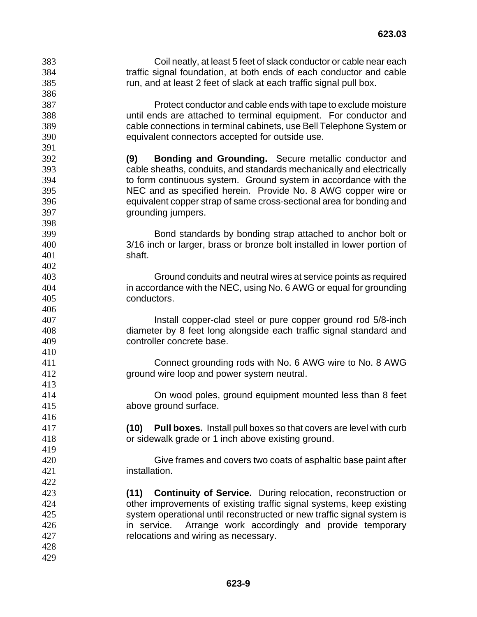Coil neatly, at least 5 feet of slack conductor or cable near each traffic signal foundation, at both ends of each conductor and cable run, and at least 2 feet of slack at each traffic signal pull box. Protect conductor and cable ends with tape to exclude moisture until ends are attached to terminal equipment. For conductor and cable connections in terminal cabinets, use Bell Telephone System or equivalent connectors accepted for outside use. **(9) Bonding and Grounding.** Secure metallic conductor and cable sheaths, conduits, and standards mechanically and electrically to form continuous system. Ground system in accordance with the NEC and as specified herein. Provide No. 8 AWG copper wire or equivalent copper strap of same cross-sectional area for bonding and grounding jumpers. Bond standards by bonding strap attached to anchor bolt or 3/16 inch or larger, brass or bronze bolt installed in lower portion of shaft. Ground conduits and neutral wires at service points as required in accordance with the NEC, using No. 6 AWG or equal for grounding conductors. Install copper-clad steel or pure copper ground rod 5/8-inch diameter by 8 feet long alongside each traffic signal standard and controller concrete base. Connect grounding rods with No. 6 AWG wire to No. 8 AWG ground wire loop and power system neutral. On wood poles, ground equipment mounted less than 8 feet above ground surface. **(10) Pull boxes.** Install pull boxes so that covers are level with curb or sidewalk grade or 1 inch above existing ground. Give frames and covers two coats of asphaltic base paint after installation. **(11) Continuity of Service.** During relocation, reconstruction or other improvements of existing traffic signal systems, keep existing system operational until reconstructed or new traffic signal system is in service. Arrange work accordingly and provide temporary relocations and wiring as necessary.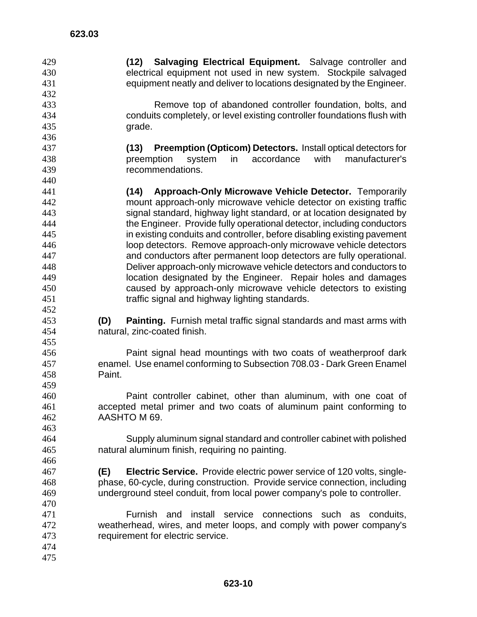- **(12) Salvaging Electrical Equipment.** Salvage controller and electrical equipment not used in new system. Stockpile salvaged equipment neatly and deliver to locations designated by the Engineer.
- Remove top of abandoned controller foundation, bolts, and conduits completely, or level existing controller foundations flush with grade.
- **(13) Preemption (Opticom) Detectors.** Install optical detectors for preemption system in accordance with manufacturer's recommendations.
- **(14) Approach-Only Microwave Vehicle Detector.** Temporarily mount approach-only microwave vehicle detector on existing traffic signal standard, highway light standard, or at location designated by the Engineer. Provide fully operational detector, including conductors in existing conduits and controller, before disabling existing pavement loop detectors. Remove approach-only microwave vehicle detectors and conductors after permanent loop detectors are fully operational. Deliver approach-only microwave vehicle detectors and conductors to location designated by the Engineer. Repair holes and damages caused by approach-only microwave vehicle detectors to existing traffic signal and highway lighting standards.
- **(D) Painting.** Furnish metal traffic signal standards and mast arms with natural, zinc-coated finish.
- Paint signal head mountings with two coats of weatherproof dark enamel. Use enamel conforming to Subsection 708.03 - Dark Green Enamel Paint.
- Paint controller cabinet, other than aluminum, with one coat of accepted metal primer and two coats of aluminum paint conforming to AASHTO M 69.
- Supply aluminum signal standard and controller cabinet with polished natural aluminum finish, requiring no painting.
- **(E) Electric Service.** Provide electric power service of 120 volts, single-phase, 60-cycle, during construction. Provide service connection, including underground steel conduit, from local power company's pole to controller.
- Furnish and install service connections such as conduits, weatherhead, wires, and meter loops, and comply with power company's requirement for electric service.
- 

 **623-10**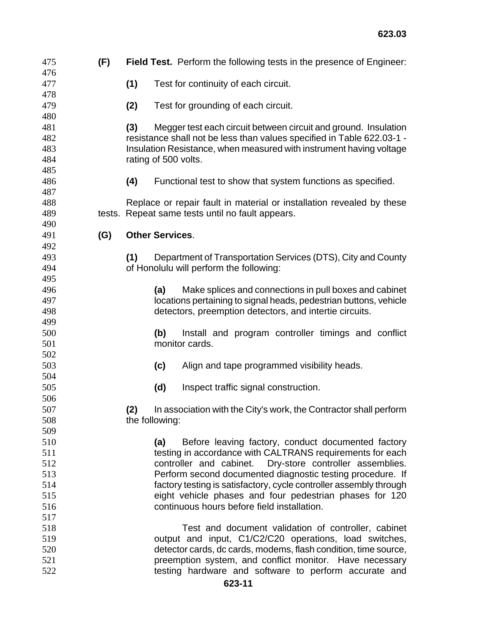| 475        | (F)    |                                             | Field Test. Perform the following tests in the presence of Engineer:                                                             |  |  |  |  |
|------------|--------|---------------------------------------------|----------------------------------------------------------------------------------------------------------------------------------|--|--|--|--|
| 476        |        |                                             |                                                                                                                                  |  |  |  |  |
| 477        |        | (1)                                         | Test for continuity of each circuit.                                                                                             |  |  |  |  |
| 478        |        |                                             |                                                                                                                                  |  |  |  |  |
| 479        |        | (2)                                         | Test for grounding of each circuit.                                                                                              |  |  |  |  |
| 480<br>481 |        | (3)                                         | Megger test each circuit between circuit and ground. Insulation                                                                  |  |  |  |  |
| 482        |        |                                             | resistance shall not be less than values specified in Table 622.03-1 -                                                           |  |  |  |  |
| 483        |        |                                             | Insulation Resistance, when measured with instrument having voltage                                                              |  |  |  |  |
| 484        |        |                                             | rating of 500 volts.                                                                                                             |  |  |  |  |
| 485        |        |                                             |                                                                                                                                  |  |  |  |  |
| 486        |        | (4)                                         | Functional test to show that system functions as specified.                                                                      |  |  |  |  |
| 487        |        |                                             |                                                                                                                                  |  |  |  |  |
| 488        |        |                                             | Replace or repair fault in material or installation revealed by these                                                            |  |  |  |  |
| 489        | tests. |                                             | Repeat same tests until no fault appears.                                                                                        |  |  |  |  |
| 490        |        |                                             |                                                                                                                                  |  |  |  |  |
| 491        | (G)    |                                             | <b>Other Services.</b>                                                                                                           |  |  |  |  |
| 492        |        |                                             |                                                                                                                                  |  |  |  |  |
| 493        |        | (1)                                         | Department of Transportation Services (DTS), City and County                                                                     |  |  |  |  |
| 494        |        |                                             | of Honolulu will perform the following:                                                                                          |  |  |  |  |
| 495        |        |                                             |                                                                                                                                  |  |  |  |  |
| 496        |        |                                             | Make splices and connections in pull boxes and cabinet<br>(a)                                                                    |  |  |  |  |
| 497        |        |                                             | locations pertaining to signal heads, pedestrian buttons, vehicle                                                                |  |  |  |  |
| 498        |        |                                             | detectors, preemption detectors, and intertie circuits.                                                                          |  |  |  |  |
| 499        |        |                                             |                                                                                                                                  |  |  |  |  |
| 500        |        |                                             | Install and program controller timings and conflict<br>(b)                                                                       |  |  |  |  |
| 501        |        |                                             | monitor cards.                                                                                                                   |  |  |  |  |
| 502        |        |                                             |                                                                                                                                  |  |  |  |  |
| 503        |        |                                             | Align and tape programmed visibility heads.<br>(c)                                                                               |  |  |  |  |
| 504        |        |                                             |                                                                                                                                  |  |  |  |  |
| 505        |        |                                             | (d)<br>Inspect traffic signal construction.                                                                                      |  |  |  |  |
| 506        |        |                                             |                                                                                                                                  |  |  |  |  |
| 507        |        | (2)                                         | In association with the City's work, the Contractor shall perform                                                                |  |  |  |  |
| 508        |        | the following:                              |                                                                                                                                  |  |  |  |  |
| 509        |        |                                             |                                                                                                                                  |  |  |  |  |
| 510        |        |                                             | Before leaving factory, conduct documented factory<br>(a)                                                                        |  |  |  |  |
| 511        |        |                                             | testing in accordance with CALTRANS requirements for each                                                                        |  |  |  |  |
| 512<br>513 |        |                                             | controller and cabinet. Dry-store controller assemblies.                                                                         |  |  |  |  |
| 514        |        |                                             | Perform second documented diagnostic testing procedure. If<br>factory testing is satisfactory, cycle controller assembly through |  |  |  |  |
| 515        |        |                                             | eight vehicle phases and four pedestrian phases for 120                                                                          |  |  |  |  |
| 516        |        | continuous hours before field installation. |                                                                                                                                  |  |  |  |  |
| 517        |        |                                             |                                                                                                                                  |  |  |  |  |
| 518        |        |                                             | Test and document validation of controller, cabinet                                                                              |  |  |  |  |
| 519        |        |                                             | output and input, C1/C2/C20 operations, load switches,                                                                           |  |  |  |  |
| 520        |        |                                             | detector cards, dc cards, modems, flash condition, time source,                                                                  |  |  |  |  |
| 521        |        |                                             | preemption system, and conflict monitor. Have necessary                                                                          |  |  |  |  |
| 522        |        |                                             | testing hardware and software to perform accurate and                                                                            |  |  |  |  |
|            |        |                                             | 623-11                                                                                                                           |  |  |  |  |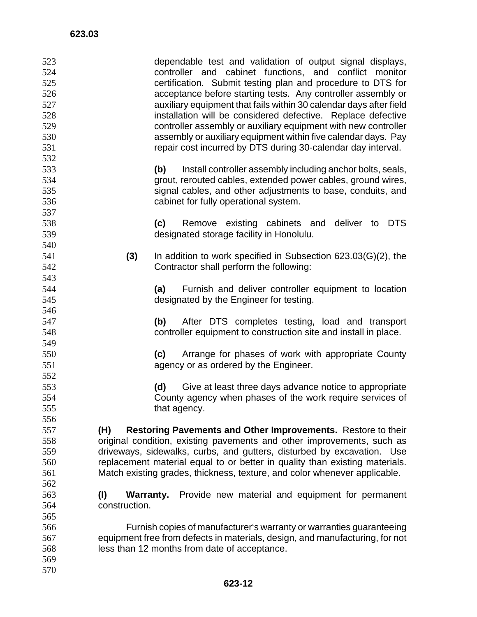| 523 |                                                                              |     | dependable test and validation of output signal displays,            |                                                            |  |            |
|-----|------------------------------------------------------------------------------|-----|----------------------------------------------------------------------|------------------------------------------------------------|--|------------|
| 524 |                                                                              |     | controller and cabinet functions, and conflict monitor               |                                                            |  |            |
| 525 |                                                                              |     | certification. Submit testing plan and procedure to DTS for          |                                                            |  |            |
| 526 |                                                                              |     | acceptance before starting tests. Any controller assembly or         |                                                            |  |            |
| 527 |                                                                              |     | auxiliary equipment that fails within 30 calendar days after field   |                                                            |  |            |
| 528 |                                                                              |     | installation will be considered defective. Replace defective         |                                                            |  |            |
| 529 |                                                                              |     | controller assembly or auxiliary equipment with new controller       |                                                            |  |            |
| 530 |                                                                              |     | assembly or auxiliary equipment within five calendar days. Pay       |                                                            |  |            |
| 531 |                                                                              |     | repair cost incurred by DTS during 30-calendar day interval.         |                                                            |  |            |
| 532 |                                                                              |     |                                                                      |                                                            |  |            |
| 533 |                                                                              | (b) |                                                                      | Install controller assembly including anchor bolts, seals, |  |            |
| 534 |                                                                              |     | grout, rerouted cables, extended power cables, ground wires,         |                                                            |  |            |
| 535 |                                                                              |     | signal cables, and other adjustments to base, conduits, and          |                                                            |  |            |
| 536 |                                                                              |     | cabinet for fully operational system.                                |                                                            |  |            |
| 537 |                                                                              |     |                                                                      |                                                            |  |            |
| 538 |                                                                              | (c) |                                                                      | Remove existing cabinets and deliver to                    |  | <b>DTS</b> |
| 539 |                                                                              |     | designated storage facility in Honolulu.                             |                                                            |  |            |
| 540 |                                                                              |     |                                                                      |                                                            |  |            |
| 541 | (3)                                                                          |     | In addition to work specified in Subsection $623.03(G)(2)$ , the     |                                                            |  |            |
| 542 |                                                                              |     | Contractor shall perform the following:                              |                                                            |  |            |
| 543 |                                                                              |     |                                                                      |                                                            |  |            |
| 544 |                                                                              | (a) |                                                                      | Furnish and deliver controller equipment to location       |  |            |
| 545 |                                                                              |     | designated by the Engineer for testing.                              |                                                            |  |            |
| 546 |                                                                              |     |                                                                      |                                                            |  |            |
| 547 |                                                                              | (b) | After DTS completes testing, load and transport                      |                                                            |  |            |
| 548 |                                                                              |     | controller equipment to construction site and install in place.      |                                                            |  |            |
| 549 |                                                                              |     |                                                                      |                                                            |  |            |
| 550 |                                                                              |     |                                                                      |                                                            |  |            |
| 551 |                                                                              | (c) | Arrange for phases of work with appropriate County                   |                                                            |  |            |
|     |                                                                              |     | agency or as ordered by the Engineer.                                |                                                            |  |            |
| 552 |                                                                              |     |                                                                      |                                                            |  |            |
| 553 |                                                                              | (d) |                                                                      | Give at least three days advance notice to appropriate     |  |            |
| 554 |                                                                              |     | County agency when phases of the work require services of            |                                                            |  |            |
| 555 |                                                                              |     | that agency.                                                         |                                                            |  |            |
| 556 |                                                                              |     |                                                                      |                                                            |  |            |
| 557 | (H)                                                                          |     | Restoring Pavements and Other Improvements. Restore to their         |                                                            |  |            |
| 558 | original condition, existing pavements and other improvements, such as       |     |                                                                      |                                                            |  |            |
| 559 | driveways, sidewalks, curbs, and gutters, disturbed by excavation. Use       |     |                                                                      |                                                            |  |            |
| 560 | replacement material equal to or better in quality than existing materials.  |     |                                                                      |                                                            |  |            |
| 561 | Match existing grades, thickness, texture, and color whenever applicable.    |     |                                                                      |                                                            |  |            |
| 562 |                                                                              |     |                                                                      |                                                            |  |            |
| 563 | (1)<br>Warranty.                                                             |     | Provide new material and equipment for permanent                     |                                                            |  |            |
| 564 | construction.                                                                |     |                                                                      |                                                            |  |            |
| 565 |                                                                              |     |                                                                      |                                                            |  |            |
| 566 |                                                                              |     | Furnish copies of manufacturer's warranty or warranties guaranteeing |                                                            |  |            |
| 567 | equipment free from defects in materials, design, and manufacturing, for not |     |                                                                      |                                                            |  |            |
| 568 | less than 12 months from date of acceptance.                                 |     |                                                                      |                                                            |  |            |
| 569 |                                                                              |     |                                                                      |                                                            |  |            |
| 570 |                                                                              |     |                                                                      |                                                            |  |            |